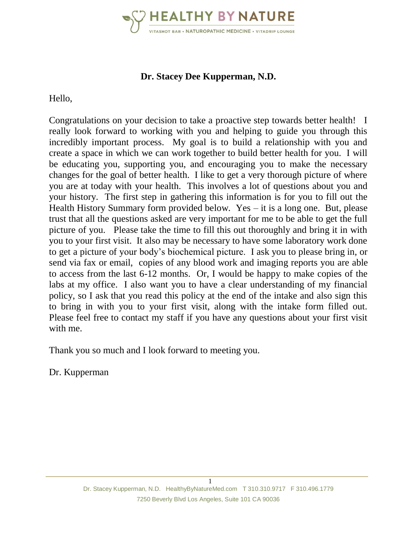

## **Dr. Stacey Dee Kupperman, N.D.**

Hello,

Congratulations on your decision to take a proactive step towards better health! I really look forward to working with you and helping to guide you through this incredibly important process. My goal is to build a relationship with you and create a space in which we can work together to build better health for you. I will be educating you, supporting you, and encouraging you to make the necessary changes for the goal of better health. I like to get a very thorough picture of where you are at today with your health. This involves a lot of questions about you and your history. The first step in gathering this information is for you to fill out the Health History Summary form provided below. Yes – it is a long one. But, please trust that all the questions asked are very important for me to be able to get the full picture of you. Please take the time to fill this out thoroughly and bring it in with you to your first visit. It also may be necessary to have some laboratory work done to get a picture of your body's biochemical picture. I ask you to please bring in, or send via fax or email, copies of any blood work and imaging reports you are able to access from the last 6-12 months. Or, I would be happy to make copies of the labs at my office. I also want you to have a clear understanding of my financial policy, so I ask that you read this policy at the end of the intake and also sign this to bring in with you to your first visit, along with the intake form filled out. Please feel free to contact my staff if you have any questions about your first visit with me.

Thank you so much and I look forward to meeting you.

Dr. Kupperman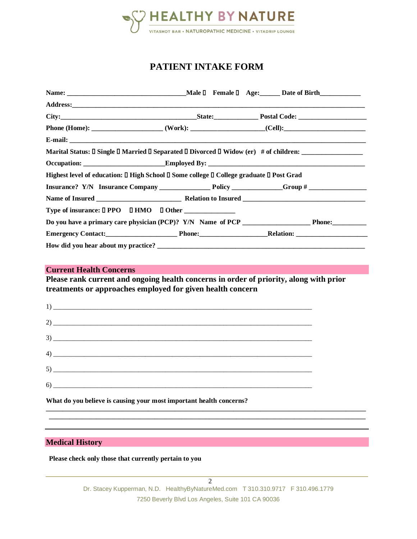

## **PATIENT INTAKE FORM**

| Marital Status: □ Single □ Married □ Separated □ Divorced □ Widow (er) # of children: _____________ |  |  |
|-----------------------------------------------------------------------------------------------------|--|--|
|                                                                                                     |  |  |
| Highest level of education: □ High School □ Some college □ College graduate □ Post Grad             |  |  |
|                                                                                                     |  |  |
|                                                                                                     |  |  |
|                                                                                                     |  |  |
|                                                                                                     |  |  |
| Emergency Contact: Phone: Relation: Relation:                                                       |  |  |
|                                                                                                     |  |  |

#### **Current Health Concerns**

**Please rank current and ongoing health concerns in order of priority, along with prior treatments or approaches employed for given health concern**

|                                                                     |  | $\frac{1}{2}$                 |  |
|---------------------------------------------------------------------|--|-------------------------------|--|
|                                                                     |  | $2)$ $\overline{\phantom{a}}$ |  |
|                                                                     |  |                               |  |
|                                                                     |  |                               |  |
|                                                                     |  | $5)$ $\overline{\phantom{a}}$ |  |
|                                                                     |  |                               |  |
| What do you believe is causing your most important health concerns? |  |                               |  |

#### **Medical History**

**Please check only those that currently pertain to you** 

**\_\_\_\_\_\_\_\_\_\_\_\_\_\_\_\_\_\_\_\_\_\_\_\_\_\_\_\_\_\_\_\_\_\_\_\_\_\_\_\_\_\_\_\_\_\_\_\_\_\_\_\_\_\_\_\_\_\_\_\_\_\_\_\_\_\_\_\_\_\_\_\_\_\_\_\_\_\_\_\_\_\_\_\_\_\_\_\_\_\_\_\_\_\_ \_\_\_\_\_\_\_\_\_\_\_\_\_\_\_\_\_\_\_\_\_\_\_\_\_\_\_\_\_\_\_\_\_\_\_\_\_\_\_\_\_\_\_\_\_\_\_\_\_\_\_\_\_\_\_\_\_\_\_\_\_\_\_\_\_\_\_\_\_\_\_\_\_\_\_\_\_\_\_\_\_\_\_\_\_\_\_\_\_\_\_\_\_**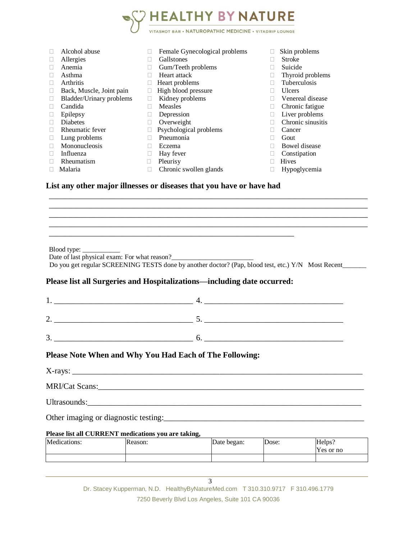

#### **List any other major illnesses or diseases that you have or have had**

Blood type:

Date of last physical exam: For what reason?

Do you get regular SCREENING TESTS done by another doctor? (Pap, blood test, etc.) Y/N Most Recent

\_\_\_\_\_\_\_\_\_\_\_\_\_\_\_\_\_\_\_\_\_\_\_\_\_\_\_\_\_\_\_\_\_\_\_\_\_\_\_\_\_\_\_\_\_\_\_\_\_\_\_\_\_\_\_\_\_\_\_\_\_\_\_\_\_\_\_\_\_\_\_\_\_\_\_\_\_\_ \_\_\_\_\_\_\_\_\_\_\_\_\_\_\_\_\_\_\_\_\_\_\_\_\_\_\_\_\_\_\_\_\_\_\_\_\_\_\_\_\_\_\_\_\_\_\_\_\_\_\_\_\_\_\_\_\_\_\_\_\_\_\_\_\_\_\_\_\_\_\_\_\_\_\_\_\_\_ \_\_\_\_\_\_\_\_\_\_\_\_\_\_\_\_\_\_\_\_\_\_\_\_\_\_\_\_\_\_\_\_\_\_\_\_\_\_\_\_\_\_\_\_\_\_\_\_\_\_\_\_\_\_\_\_\_\_\_\_\_\_\_\_\_\_\_\_\_\_\_\_\_\_\_\_\_\_ \_\_\_\_\_\_\_\_\_\_\_\_\_\_\_\_\_\_\_\_\_\_\_\_\_\_\_\_\_\_\_\_\_\_\_\_\_\_\_\_\_\_\_\_\_\_\_\_\_\_\_\_\_\_\_\_\_\_\_\_\_\_\_\_\_\_\_\_\_\_\_\_\_\_\_\_\_\_

#### **Please list all Surgeries and Hospitalizations—including date occurred:**

\_\_\_\_\_\_\_\_\_\_\_\_\_\_\_\_\_\_\_\_\_\_\_\_\_\_\_\_\_\_\_\_\_\_\_\_\_\_\_\_\_\_\_\_\_\_\_\_\_\_\_\_\_\_\_\_\_\_\_\_

| ∼. |  |
|----|--|
| J. |  |

#### **Please Note When and Why You Had Each of The Following:**

X-rays: \_\_\_\_\_\_\_\_\_\_\_\_\_\_\_\_\_\_\_\_\_\_\_\_\_\_\_\_\_\_\_\_\_\_\_\_\_\_\_\_\_\_\_\_\_\_\_\_\_\_\_\_\_\_\_\_\_\_\_\_\_\_\_\_\_\_\_\_\_\_\_

MRI/Cat Scans:

Ultrasounds:\_\_\_\_\_\_\_\_\_\_\_\_\_\_\_\_\_\_\_\_\_\_\_\_\_\_\_\_\_\_\_\_\_\_\_\_\_\_\_\_\_\_\_\_\_\_\_\_\_\_\_\_\_\_\_\_\_\_\_\_\_\_\_\_\_\_\_

Other imaging or diagnostic testing:

#### **Please list all CURRENT medications you are taking,**

| Medications: | <b>Reason:</b> | Date began: | Dose: | Helps:    |
|--------------|----------------|-------------|-------|-----------|
|              |                |             |       | Yes or no |
|              |                |             |       |           |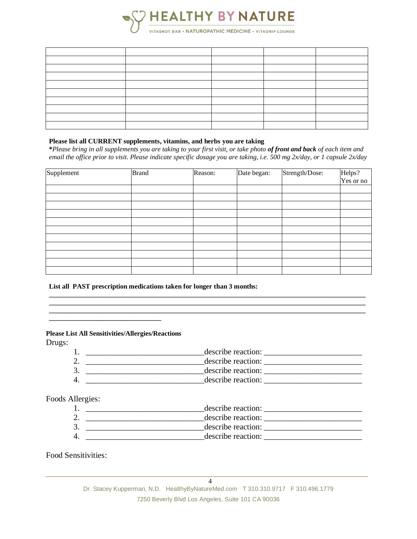

#### **Please list all CURRENT supplements, vitamins, and herbs you are taking**

**\****Please bring in all supplements you are taking to your first visit, or take photo of front and back of each item and email the office prior to visit. Please indicate specific dosage you are taking, i.e. 500 mg 2x/day, or 1 capsule 2x/day*

| Supplement | <b>Brand</b> | Reason: | Date began: | Strength/Dose: | Helps?    |
|------------|--------------|---------|-------------|----------------|-----------|
|            |              |         |             |                | Yes or no |
|            |              |         |             |                |           |
|            |              |         |             |                |           |
|            |              |         |             |                |           |
|            |              |         |             |                |           |
|            |              |         |             |                |           |
|            |              |         |             |                |           |
|            |              |         |             |                |           |
|            |              |         |             |                |           |
|            |              |         |             |                |           |
|            |              |         |             |                |           |
|            |              |         |             |                |           |

**\_\_\_\_\_\_\_\_\_\_\_\_\_\_\_\_\_\_\_\_\_\_\_\_\_\_\_\_\_\_\_\_\_\_\_\_\_\_\_\_\_\_\_\_\_\_\_\_\_\_\_\_\_\_\_\_\_\_\_\_\_\_\_\_\_\_\_\_\_\_\_\_\_\_\_\_\_\_\_\_\_\_\_\_\_\_\_\_\_\_\_\_\_ \_\_\_\_\_\_\_\_\_\_\_\_\_\_\_\_\_\_\_\_\_\_\_\_\_\_\_\_\_\_\_\_\_\_\_\_\_\_\_\_\_\_\_\_\_\_\_\_\_\_\_\_\_\_\_\_\_\_\_\_\_\_\_\_\_\_\_\_\_\_\_\_\_\_\_\_\_\_\_\_\_\_\_\_\_\_\_\_\_\_\_\_\_**

#### **List all PAST prescription medications taken for longer than 3 months:**

#### **Please List All Sensitivities/Allergies/Reactions**

Drugs:

- 1. \_\_\_\_\_\_\_\_\_\_\_\_\_\_\_\_\_\_\_\_\_\_\_\_\_\_\_\_\_describe reaction: \_\_\_\_\_\_\_\_\_\_\_\_\_\_\_\_\_\_\_\_\_\_\_\_
- 2.  $\frac{1}{2}$   $\frac{1}{2}$   $\frac{1}{2}$   $\frac{1}{2}$   $\frac{1}{2}$   $\frac{1}{2}$   $\frac{1}{2}$   $\frac{1}{2}$   $\frac{1}{2}$   $\frac{1}{2}$   $\frac{1}{2}$   $\frac{1}{2}$   $\frac{1}{2}$   $\frac{1}{2}$   $\frac{1}{2}$   $\frac{1}{2}$   $\frac{1}{2}$   $\frac{1}{2}$   $\frac{1}{2}$   $\frac{1}{2}$   $\frac{1}{2}$   $\frac{1}{2}$  $\bullet$  3.  $\_\_\_\_\_\_\_\_\_\_\_\_\_\_\_\_\_$   $\_\_\_\_\_\_\_\_\_\_\_$   $\_\_\_\_\_\_\_\_$   $\_\_\_\_\_\_\_\_\_$
- 4. \_\_\_\_\_\_\_\_\_\_\_\_\_\_\_\_\_\_\_\_\_\_\_\_\_\_\_\_\_describe reaction: \_\_\_\_\_\_\_\_\_\_\_\_\_\_\_\_\_\_\_\_\_\_\_\_

#### Foods Allergies:

| describe reaction: |
|--------------------|
| describe reaction: |
| describe reaction: |
| describe reaction: |

#### Food Sensitivities:

Dr. Stacey Kupperman, N.D. HealthyByNatureMed.com T 310.310.9717 F 310.496.1779 7250 Beverly Blvd Los Angeles, Suite 101 CA 90036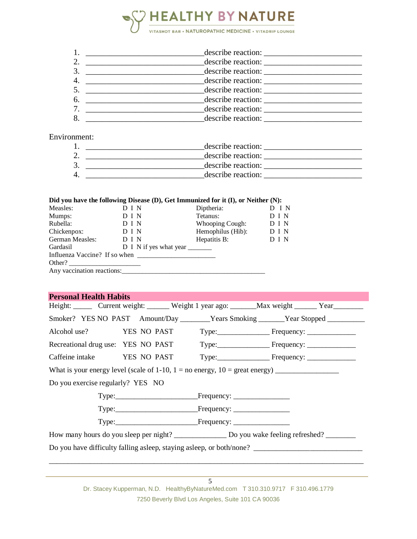

|   | describe reaction: |
|---|--------------------|
|   | describe reaction: |
|   | describe reaction: |
| 6 |                    |
|   | describe reaction: |
| 8 | describe reaction: |

#### Environment:

| describe reaction: |
|--------------------|
| describe reaction: |
| describe reaction: |
| describe reaction: |

#### **Did you have the following Disease (D), Get Immunized for it (I), or Neither (N):**

| Measles:                      | D I N                  | Diptheria:        | I N   |
|-------------------------------|------------------------|-------------------|-------|
| Mumps:                        | D I N                  | Tetanus:          | D I N |
| Rubella:                      | D I N                  | Whooping Cough:   | D I N |
| Chickenpox:                   | D I N                  | Hemophilus (Hib): | D I N |
| German Measles:               | D I N                  | Hepatitis B:      | D I N |
| Gardasil                      | D I N if yes what year |                   |       |
| Influenza Vaccine? If so when |                        |                   |       |
| Other?                        |                        |                   |       |
| Any vaccination reactions:    |                        |                   |       |
|                               |                        |                   |       |

#### **Personal Health Habits**

|                                   |  | Height: Current weight: Weight 1 year ago: Max weight ______ Year                 |
|-----------------------------------|--|-----------------------------------------------------------------------------------|
|                                   |  | Smoker? YES NO PAST Amount/Day ________Years Smoking ______Year Stopped _________ |
|                                   |  |                                                                                   |
|                                   |  | Recreational drug use: YES NO PAST Type: Frequency: _____________________________ |
|                                   |  |                                                                                   |
|                                   |  | What is your energy level (scale of 1-10, $1 =$ no energy, $10 =$ great energy)   |
| Do you exercise regularly? YES NO |  |                                                                                   |
|                                   |  |                                                                                   |
|                                   |  |                                                                                   |
|                                   |  |                                                                                   |
|                                   |  |                                                                                   |
|                                   |  |                                                                                   |
|                                   |  |                                                                                   |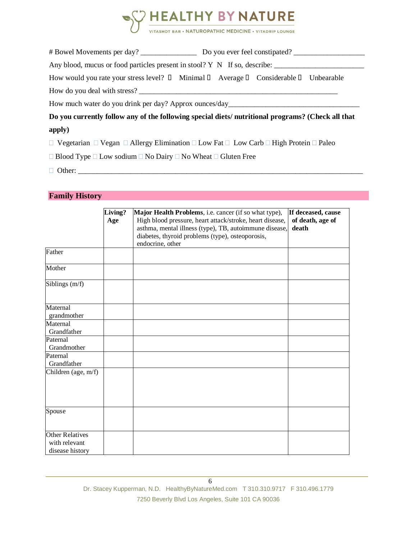

|                                                                                                                           | Any blood, mucus or food particles present in stool? $Y \times Y$ If so, describe:                |
|---------------------------------------------------------------------------------------------------------------------------|---------------------------------------------------------------------------------------------------|
| How would you rate your stress level? $\Box$ Minimal $\Box$ Average $\Box$ Considerable $\Box$ Unbearable                 |                                                                                                   |
|                                                                                                                           |                                                                                                   |
| How much water do you drink per day? Approx ounces/day                                                                    |                                                                                                   |
|                                                                                                                           | Do you currently follow any of the following special diets/ nutritional programs? (Check all that |
| apply)                                                                                                                    |                                                                                                   |
| $\Box$ Vegetarian $\Box$ Vegan $\Box$ Allergy Elimination $\Box$ Low Fat $\Box$ Low Carb $\Box$ High Protein $\Box$ Paleo |                                                                                                   |

 $\Box$  Blood Type  $\Box$  Low sodium  $\Box$  No Dairy  $\Box$  No Wheat  $\Box$  Gluten Free

Other: \_\_\_\_\_\_\_\_\_\_\_\_\_\_\_\_\_\_\_\_\_\_\_\_\_\_\_\_\_\_\_\_\_\_\_\_\_\_\_\_\_\_\_\_\_\_\_\_\_\_\_\_\_\_\_\_\_\_\_\_\_\_\_\_\_\_\_\_\_\_\_\_\_\_\_\_

### **Family History**

|                                                            | Living?<br>Age | Major Health Problems, i.e. cancer (if so what type),<br>High blood pressure, heart attack/stroke, heart disease,              | If deceased, cause<br>of death, age of |
|------------------------------------------------------------|----------------|--------------------------------------------------------------------------------------------------------------------------------|----------------------------------------|
|                                                            |                | asthma, mental illness (type), TB, autoimmune disease,<br>diabetes, thyroid problems (type), osteoporosis,<br>endocrine, other | death                                  |
| Father                                                     |                |                                                                                                                                |                                        |
| Mother                                                     |                |                                                                                                                                |                                        |
| Siblings (m/f)                                             |                |                                                                                                                                |                                        |
| Maternal<br>grandmother                                    |                |                                                                                                                                |                                        |
| Maternal<br>Grandfather                                    |                |                                                                                                                                |                                        |
| Paternal<br>Grandmother                                    |                |                                                                                                                                |                                        |
| Paternal<br>Grandfather                                    |                |                                                                                                                                |                                        |
| Children (age, m/f)                                        |                |                                                                                                                                |                                        |
| Spouse                                                     |                |                                                                                                                                |                                        |
| <b>Other Relatives</b><br>with relevant<br>disease history |                |                                                                                                                                |                                        |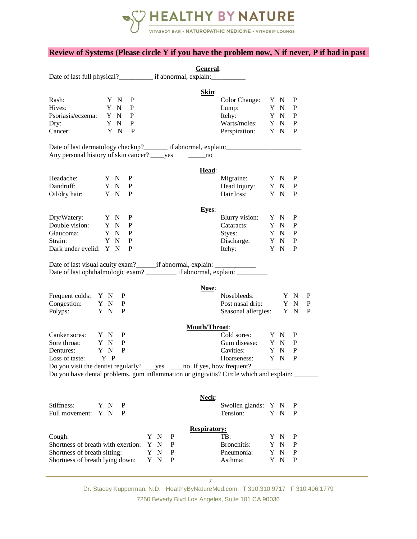

#### **Review of Systems (Please circle Y if you have the problem now, N if never, P if had in past**

|                                                                                  |     |                   |              |      |   | General:             |                                                                                          |     |              |        |
|----------------------------------------------------------------------------------|-----|-------------------|--------------|------|---|----------------------|------------------------------------------------------------------------------------------|-----|--------------|--------|
|                                                                                  |     |                   |              |      |   |                      |                                                                                          |     |              |        |
|                                                                                  |     |                   |              |      |   | Skin:                |                                                                                          |     |              |        |
| Rash:                                                                            |     | Y N               | P            |      |   |                      | Color Change: Y N                                                                        |     | P            |        |
| Hives:                                                                           |     | Y N               | P            |      |   |                      | Lump: $Y \tN$                                                                            |     | P            |        |
| Psoriasis/eczema: Y N                                                            |     |                   | P            |      |   |                      | Itchy: Y N                                                                               |     | P            |        |
| Dry:                                                                             |     | Y N               | P            |      |   |                      |                                                                                          |     | $\mathbf{P}$ |        |
| Cancer:                                                                          |     | Y N               | P            |      |   |                      | Warts/moles: Y N<br>Perspiration: Y N                                                    |     | P            |        |
|                                                                                  |     |                   |              |      |   |                      |                                                                                          |     |              |        |
| Any personal history of skin cancer? _____ yes                                   |     |                   |              |      |   | $\sim$ no            |                                                                                          |     |              |        |
|                                                                                  |     |                   |              |      |   |                      |                                                                                          |     |              |        |
| Headache:<br>Y N                                                                 |     |                   | P            |      |   | Head:                | Migraine:                                                                                |     | P            |        |
| Dandruff:                                                                        |     | Y N P             |              |      |   |                      |                                                                                          | Y N | P            |        |
| Oil/dry hair:                                                                    |     | Y N P             |              |      |   |                      | Head Injury: Y N<br>Hair loss: Y N                                                       |     | P            |        |
|                                                                                  |     |                   |              |      |   |                      |                                                                                          |     |              |        |
|                                                                                  |     |                   |              |      |   | <b>Eyes:</b>         |                                                                                          |     |              |        |
|                                                                                  |     |                   |              |      |   |                      | Blurry vision: $Y \ N$                                                                   |     | P            |        |
| Dry/Watery: Y N P<br>Double vision: Y N P<br>Glaucoma: Y N P                     |     |                   |              |      |   |                      | Cataracts: Y N<br>Styes: Y N                                                             |     | P            |        |
| Glaucoma:                                                                        |     | Y N P             |              |      |   |                      | Styes:                                                                                   |     | P            |        |
| Strain:                                                                          |     | Y N               | $\mathbf{P}$ |      |   |                      | Discharge: Y N<br>Itchy: Y N<br>Itchy: Y N                                               |     | $\mathbf P$  |        |
| Dark under eyelid: Y N                                                           |     |                   | P            |      |   |                      |                                                                                          |     | P            |        |
| Date of last visual acuity exam?________if abnormal, explain: __________________ |     |                   |              |      |   |                      | Date of last ophthalmologic exam? ___________ if abnormal, explain: ____________         |     |              |        |
|                                                                                  |     |                   |              |      |   | Nose:                |                                                                                          |     |              |        |
| Frequent colds: Y N P                                                            |     |                   |              |      |   |                      | Nosebleeds:                                                                              | Y N |              | P      |
| Congestion: Y N                                                                  |     | P<br>$\mathbf{P}$ |              |      |   |                      | Post nasal drip: Y N                                                                     |     |              | P<br>P |
| Polyps: Y N                                                                      |     |                   |              |      |   |                      | Seasonal allergies: Y N                                                                  |     |              |        |
|                                                                                  |     |                   |              |      |   | <b>Mouth/Throat:</b> |                                                                                          |     |              |        |
| Canker sores: Y N                                                                |     | P                 |              |      |   |                      | Cold sores: Y N                                                                          |     | P            |        |
| Y N<br>Sore throat:                                                              |     | P                 |              |      |   |                      | Gum disease:                                                                             | Y N | P            |        |
| Dentures:                                                                        | Y N | P                 |              |      |   |                      | Y N<br>Cavities:                                                                         |     | P            |        |
| Loss of taste: $Y \cdot P$                                                       |     |                   |              |      |   |                      | Hoarseness:                                                                              | Y N | P            |        |
| Do you visit the dentist regularly?                                              |     |                   |              | _yes |   |                      | no If yes, how frequent?                                                                 |     |              |        |
|                                                                                  |     |                   |              |      |   |                      | Do you have dental problems, gum inflammation or gingivitis? Circle which and explain: _ |     |              |        |
|                                                                                  |     |                   |              |      |   |                      |                                                                                          |     |              |        |
| Stiffness:                                                                       | Y N | P                 |              |      |   | Neck:                | Swollen glands: Y N                                                                      |     | P            |        |
| Full movement: Y N                                                               |     | P                 |              |      |   |                      | Tension:                                                                                 | Y N | P            |        |
|                                                                                  |     |                   |              |      |   |                      |                                                                                          |     |              |        |
|                                                                                  |     |                   |              |      |   | <b>Respiratory:</b>  |                                                                                          |     |              |        |
| Cough:                                                                           |     |                   |              | Y N  | P |                      | TB:                                                                                      | Y N | P            |        |
| Shortness of breath with exertion:                                               |     |                   |              | Y N  | P |                      | Bronchitis:                                                                              | Y N | $\mathbf P$  |        |
| Shortness of breath sitting:                                                     |     |                   |              | Y N  | P |                      | Pneumonia:                                                                               | Y N | $\mathbf P$  |        |
| Shortness of breath lying down:                                                  |     |                   |              | Y N  | P |                      | Asthma:                                                                                  | Y N | P            |        |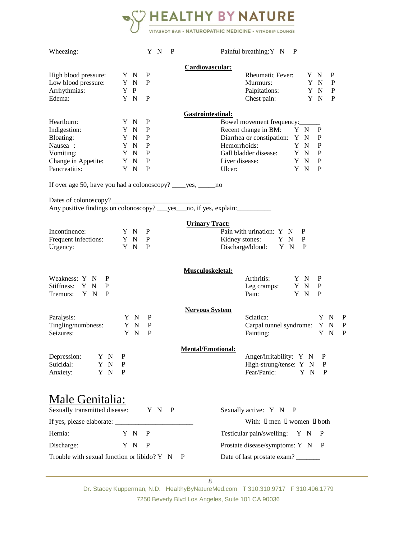

| Wheezing:                                                        |     |     |             | YN P  | Painful breathing: Y N P            |
|------------------------------------------------------------------|-----|-----|-------------|-------|-------------------------------------|
|                                                                  |     |     |             |       | Cardiovascular:                     |
| High blood pressure:                                             |     | Y N | P           |       | Rheumatic Fever: Y N<br>P           |
| Low blood pressure:                                              |     | Y N | P           |       | Murmurs:<br>Y N<br>P                |
| Arrhythmias:                                                     | Y P |     |             |       | Palpitations: Y N<br>P              |
| Edema:                                                           |     | Y N | P           |       | Chest pain: Y N<br>P                |
|                                                                  |     |     |             |       | Gastrointestinal:                   |
| Heartburn:                                                       |     | Y N | P           |       | Bowel movement frequency:           |
| Indigestion:                                                     |     | Y N | P           |       | Recent change in BM: Y N<br>P       |
| Bloating:                                                        |     | Y N | P           |       | Diarrhea or constipation: Y N<br>P  |
| Nausea :                                                         |     | Y N | $\mathbf P$ |       | Hemorrhoids:<br>${\bf P}$<br>Y N    |
| Vomiting:                                                        |     | Y N | P           |       | Gall bladder disease: Y N<br>P      |
| Change in Appetite:                                              |     | Y N | P           |       | Liver disease:<br>P<br>YN           |
| Pancreatitis:                                                    | Y N |     | P           |       | Y N<br>P<br>Ulcer:                  |
| If over age 50, have you had a colonoscopy? _____ yes, ______ no |     |     |             |       |                                     |
|                                                                  |     |     |             |       |                                     |
|                                                                  |     |     |             |       |                                     |
|                                                                  |     |     |             |       | <b>Urinary Tract:</b>               |
| Incontinence:                                                    |     | Y N | P           |       | Pain with urination: Y N<br>P       |
| Frequent infections: Y N                                         |     |     | $\mathbf P$ |       | Kidney stones: Y N<br>P             |
| Urgency:                                                         |     | Y N | P           |       | Discharge/blood: Y N<br>P           |
|                                                                  |     |     |             |       | <b>Musculoskeletal:</b>             |
| Weakness: Y N<br>P                                               |     |     |             |       | Arthritis: Y N<br>P                 |
| Stiffness: Y N<br>P                                              |     |     |             |       | Leg cramps: Y N<br>P                |
| Tremors: Y N<br>P                                                |     |     |             |       | Pain: Y N<br>P                      |
|                                                                  |     |     |             |       | <b>Nervous System</b>               |
| Paralysis:                                                       |     | Y N | P           |       | Sciatica:<br>Y N<br>P               |
| Tingling/numbness:                                               |     | Y N | $\mathbf P$ |       | Carpal tunnel syndrome: Y N<br>P    |
| Seizures:                                                        |     | Y N | P           |       | Fainting:<br>Y N<br>P               |
|                                                                  |     |     |             |       | <b>Mental/Emotional:</b>            |
| Depression:<br>Y N                                               | P   |     |             |       | Anger/irritability: Y N<br>P        |
| Suicidal:<br>N<br>Y                                              | P   |     |             |       | High-strung/tense: Y N<br>P         |
| Anxiety:<br>Y N                                                  | P   |     |             |       | Fear/Panic:<br>P<br>ΥN              |
|                                                                  |     |     |             |       |                                     |
| Male Genitalia:<br>Sexually transmitted disease:                 |     |     |             | Y N P | Sexually active: Y N P              |
| If yes, please elaborate: ____                                   |     |     |             |       | With: I men I women I both          |
| Hernia:                                                          | Y N |     | P           |       | Testicular pain/swelling: Y N<br>P  |
| Discharge:                                                       |     | Y N | P           |       | Prostate disease/symptoms: Y N<br>P |

Trouble with sexual function or libido? Y N P Date of last prostate exam?

8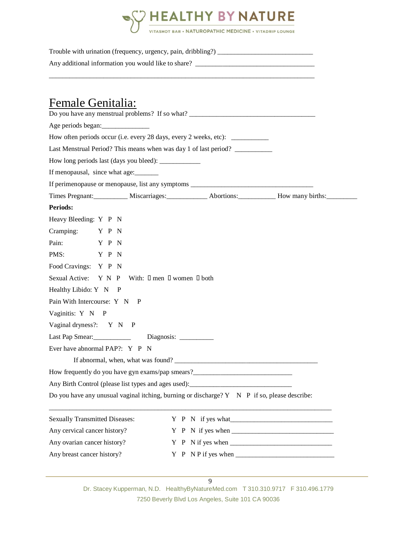

Trouble with urination (frequency, urgency, pain, dribbling?) \_\_\_\_\_\_\_\_\_\_\_\_\_\_\_\_\_\_\_\_\_\_\_\_\_\_\_\_

\_\_\_\_\_\_\_\_\_\_\_\_\_\_\_\_\_\_\_\_\_\_\_\_\_\_\_\_\_\_\_\_\_\_\_\_\_\_\_\_\_\_\_\_\_\_\_\_\_\_\_\_\_\_\_\_\_\_\_\_\_\_\_\_\_\_\_\_\_\_\_\_\_\_\_\_\_\_

Any additional information you would like to share? \_\_\_\_\_\_\_\_\_\_\_\_\_\_\_\_\_\_\_\_\_\_\_\_\_\_\_\_\_\_\_\_\_\_\_

## Female Genitalia:

| Do you have any menstrual problems? If so what? _________________________________                   |                       |  |                   |  |  |  |  |  |  |  |  |
|-----------------------------------------------------------------------------------------------------|-----------------------|--|-------------------|--|--|--|--|--|--|--|--|
| Age periods began:                                                                                  |                       |  |                   |  |  |  |  |  |  |  |  |
| How often periods occur (i.e. every 28 days, every 2 weeks, etc): ______________                    |                       |  |                   |  |  |  |  |  |  |  |  |
| Last Menstrual Period? This means when was day 1 of last period? _______________                    |                       |  |                   |  |  |  |  |  |  |  |  |
| How long periods last (days you bleed): _____________                                               |                       |  |                   |  |  |  |  |  |  |  |  |
| If menopausal, since what age:                                                                      |                       |  |                   |  |  |  |  |  |  |  |  |
| If perimenopause or menopause, list any symptoms _______________________________                    |                       |  |                   |  |  |  |  |  |  |  |  |
| Times Pregnant: Miscarriages: Miscarriages: Abortions: How many births:                             |                       |  |                   |  |  |  |  |  |  |  |  |
| <b>Periods:</b>                                                                                     |                       |  |                   |  |  |  |  |  |  |  |  |
| Heavy Bleeding: Y P N                                                                               |                       |  |                   |  |  |  |  |  |  |  |  |
| Cramping: Y P N                                                                                     |                       |  |                   |  |  |  |  |  |  |  |  |
| Pain: Y P N                                                                                         |                       |  |                   |  |  |  |  |  |  |  |  |
| PMS: Y P N                                                                                          |                       |  |                   |  |  |  |  |  |  |  |  |
| Food Cravings: Y P N                                                                                |                       |  |                   |  |  |  |  |  |  |  |  |
| Sexual Active: Y N P With: I men I women I both                                                     |                       |  |                   |  |  |  |  |  |  |  |  |
| Healthy Libido: Y N P                                                                               |                       |  |                   |  |  |  |  |  |  |  |  |
| Pain With Intercourse: Y N P                                                                        |                       |  |                   |  |  |  |  |  |  |  |  |
| Vaginitis: Y N P                                                                                    |                       |  |                   |  |  |  |  |  |  |  |  |
| Vaginal dryness?: Y N P                                                                             |                       |  |                   |  |  |  |  |  |  |  |  |
| Last Pap Smear:                                                                                     | Diagnosis: __________ |  |                   |  |  |  |  |  |  |  |  |
| Ever have abnormal PAP?: Y P N                                                                      |                       |  |                   |  |  |  |  |  |  |  |  |
|                                                                                                     |                       |  |                   |  |  |  |  |  |  |  |  |
| How frequently do you have gyn exams/pap smears?_________________________________                   |                       |  |                   |  |  |  |  |  |  |  |  |
| Any Birth Control (please list types and ages used):                                                |                       |  |                   |  |  |  |  |  |  |  |  |
| Do you have any unusual vaginal itching, burning or discharge? $Y \times P$ if so, please describe: |                       |  |                   |  |  |  |  |  |  |  |  |
| <b>Sexually Transmitted Diseases:</b>                                                               |                       |  | Y P N if yes what |  |  |  |  |  |  |  |  |
| Any cervical cancer history?                                                                        |                       |  |                   |  |  |  |  |  |  |  |  |
| Any ovarian cancer history?                                                                         |                       |  |                   |  |  |  |  |  |  |  |  |
| Any breast cancer history?                                                                          |                       |  |                   |  |  |  |  |  |  |  |  |
|                                                                                                     |                       |  |                   |  |  |  |  |  |  |  |  |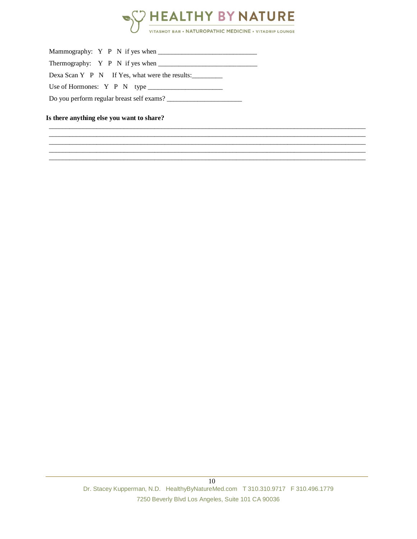

 $\_$  ,  $\_$  ,  $\_$  ,  $\_$  ,  $\_$  ,  $\_$  ,  $\_$  ,  $\_$  ,  $\_$  ,  $\_$  ,  $\_$  ,  $\_$  ,  $\_$  ,  $\_$  ,  $\_$  ,  $\_$  ,  $\_$  ,  $\_$  ,  $\_$  ,  $\_$  ,  $\_$  ,  $\_$  ,  $\_$  ,  $\_$  ,  $\_$  ,  $\_$  ,  $\_$  ,  $\_$  ,  $\_$  ,  $\_$  ,  $\_$  ,  $\_$  ,  $\_$  ,  $\_$  ,  $\_$  ,  $\_$  ,  $\_$  ,  $\_$  ,  $\_$  ,  $\_$  ,  $\_$  ,  $\_$  ,  $\_$  ,  $\_$  ,  $\_$  ,  $\_$  ,  $\_$  ,  $\_$  ,  $\_$  ,  $\_$  ,  $\_$  ,  $\_$  ,  $\_$  ,  $\_$  ,  $\_$  ,  $\_$  ,  $\_$  ,  $\_$  ,  $\_$  ,  $\_$  ,  $\_$  ,  $\_$  ,  $\_$  ,  $\_$  ,  $\_$  ,  $\_$  ,  $\_$  ,  $\_$  ,  $\_$  ,  $\_$  ,  $\_$  ,  $\_$  ,  $\_$  ,  $\_$  , \_\_\_\_\_\_\_\_\_\_\_\_\_\_\_\_\_\_\_\_\_\_\_\_\_\_\_\_\_\_\_\_\_\_\_\_\_\_\_\_\_\_\_\_\_\_\_\_\_\_\_\_\_\_\_\_\_\_\_\_\_\_\_\_\_\_\_\_\_\_\_\_\_\_\_\_\_\_\_\_\_\_\_\_\_\_\_\_\_\_\_\_\_  $\_$  ,  $\_$  ,  $\_$  ,  $\_$  ,  $\_$  ,  $\_$  ,  $\_$  ,  $\_$  ,  $\_$  ,  $\_$  ,  $\_$  ,  $\_$  ,  $\_$  ,  $\_$  ,  $\_$  ,  $\_$  ,  $\_$  ,  $\_$  ,  $\_$  ,  $\_$  ,  $\_$  ,  $\_$  ,  $\_$  ,  $\_$  ,  $\_$  ,  $\_$  ,  $\_$  ,  $\_$  ,  $\_$  ,  $\_$  ,  $\_$  ,  $\_$  ,  $\_$  ,  $\_$  ,  $\_$  ,  $\_$  ,  $\_$  ,  $\_$  ,  $\_$  ,  $\_$  ,  $\_$  ,  $\_$  ,  $\_$  ,  $\_$  ,  $\_$  ,  $\_$  ,  $\_$  ,  $\_$  ,  $\_$  ,  $\_$  ,  $\_$  ,  $\_$  ,  $\_$  ,  $\_$  ,  $\_$  ,  $\_$  ,  $\_$  ,  $\_$  ,  $\_$  ,  $\_$  ,  $\_$  ,  $\_$  ,  $\_$  ,  $\_$  ,  $\_$  ,  $\_$  ,  $\_$  ,  $\_$  ,  $\_$  ,  $\_$  ,  $\_$  ,  $\_$  ,  $\_$  ,  $\_$  ,

| Thermography: Y P N if yes when                |
|------------------------------------------------|
| Dexa Scan Y P N If Yes, what were the results: |
| Use of Hormones: $Y \cdot P \cdot N$ type      |
| Do you perform regular breast self exams?      |

#### **Is there anything else you want to share?**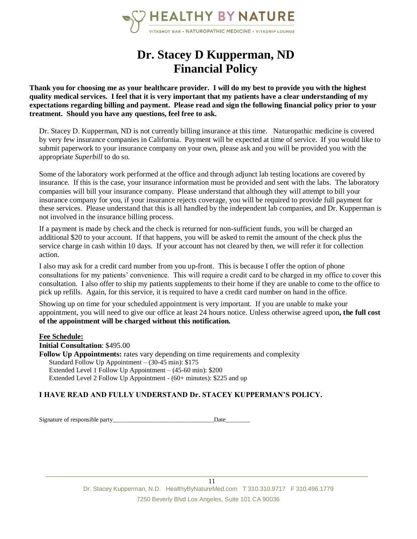

## **Dr. Stacey D Kupperman, ND Financial Policy**

**Thank you for choosing me as your healthcare provider. I will do my best to provide you with the highest quality medical services. I feel that it is very important that my patients have a clear understanding of my expectations regarding billing and payment. Please read and sign the following financial policy prior to your treatment. Should you have any questions, feel free to ask.**

Dr. Stacey D. Kupperman, ND is not currently billing insurance at this time. Naturopathic medicine is covered by very few insurance companies in California. Payment will be expected at time of service. If you would like to submit paperwork to your insurance company on your own, please ask and you will be provided you with the appropriate *Superbill* to do so.

Some of the laboratory work performed at the office and through adjunct lab testing locations are covered by insurance. If this is the case, your insurance information must be provided and sent with the labs. The laboratory companies will bill your insurance company. Please understand that although they will attempt to bill your insurance company for you, if your insurance rejects coverage, you will be required to provide full payment for these services. Please understand that this is all handled by the independent lab companies, and Dr. Kupperman is not involved in the insurance billing process.

If a payment is made by check and the check is returned for non-sufficient funds, you will be charged an additional \$20 to your account. If that happens, you will be asked to remit the amount of the check plus the service charge in cash within 10 days. If your account has not cleared by then, we will refer it for collection action.

I also may ask for a credit card number from you up-front. This is because I offer the option of phone consultations for my patients' convenience. This will require a credit card to be charged in my office to cover this consultation. I also offer to ship my patients supplements to their home if they are unable to come to the office to pick up refills. Again, for this service, it is required to have a credit card number on hand in the office.

Showing up on time for your scheduled appointment is very important. If you are unable to make your appointment, you will need to give our office at least 24 hours notice. Unless otherwise agreed upon**, the full cost of the appointment will be charged without this notification.**

#### **Fee Schedule:**

**Initial Consultation**: \$495.00

**Follow Up Appointments:** rates vary depending on time requirements and complexity Standard Follow Up Appointment – (30-45 min): \$175 Extended Level 1 Follow Up Appointment – (45-60 min): \$200 Extended Level 2 Follow Up Appointment - (60+ minutes): \$225 and up

#### **I HAVE READ AND FULLY UNDERSTAND Dr. STACEY KUPPERMAN'S POLICY.**

Signature of responsible party\_\_\_\_\_\_\_\_\_\_\_\_\_\_\_\_\_\_\_\_\_\_\_\_\_\_\_\_\_\_\_\_\_Date\_\_\_\_\_\_\_\_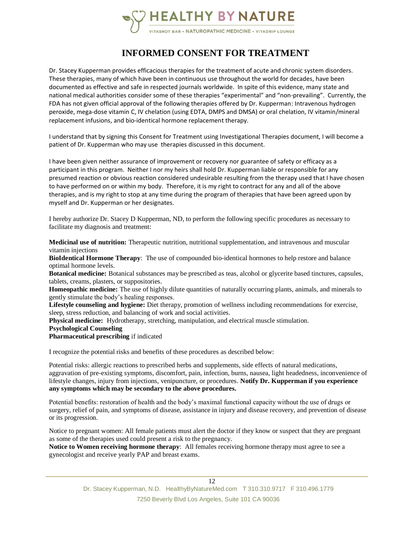

## **INFORMED CONSENT FOR TREATMENT**

Dr. Stacey Kupperman provides efficacious therapies for the treatment of acute and chronic system disorders. These therapies, many of which have been in continuous use throughout the world for decades, have been documented as effective and safe in respected journals worldwide. In spite of this evidence, many state and national medical authorities consider some of these therapies "experimental" and "non-prevailing". Currently, the FDA has not given official approval of the following therapies offered by Dr. Kupperman: Intravenous hydrogen peroxide, mega-dose vitamin C, IV chelation (using EDTA, DMPS and DMSA) or oral chelation, IV vitamin/mineral replacement infusions, and bio-identical hormone replacement therapy.

I understand that by signing this Consent for Treatment using Investigational Therapies document, I will become a patient of Dr. Kupperman who may use therapies discussed in this document.

I have been given neither assurance of improvement or recovery nor guarantee of safety or efficacy as a participant in this program. Neither I nor my heirs shall hold Dr. Kupperman liable or responsible for any presumed reaction or obvious reaction considered undesirable resulting from the therapy used that I have chosen to have performed on or within my body. Therefore, it is my right to contract for any and all of the above therapies, and is my right to stop at any time during the program of therapies that have been agreed upon by myself and Dr. Kupperman or her designates.

I hereby authorize Dr. Stacey D Kupperman, ND, to perform the following specific procedures as necessary to facilitate my diagnosis and treatment:

**Medicinal use of nutrition:** Therapeutic nutrition, nutritional supplementation, and intravenous and muscular vitamin injections

**BioIdentical Hormone Therapy**: The use of compounded bio-identical hormones to help restore and balance optimal hormone levels.

**Botanical medicine:** Botanical substances may be prescribed as teas, alcohol or glycerite based tinctures, capsules, tablets, creams, plasters, or suppositories.

**Homeopathic medicine:** The use of highly dilute quantities of naturally occurring plants, animals, and minerals to gently stimulate the body's healing responses.

**Lifestyle counseling and hygiene:** Diet therapy, promotion of wellness including recommendations for exercise, sleep, stress reduction, and balancing of work and social activities.

**Physical medicine:** Hydrotherapy, stretching, manipulation, and electrical muscle stimulation.

**Psychological Counseling**

**Pharmaceutical prescribing** if indicated

I recognize the potential risks and benefits of these procedures as described below:

Potential risks: allergic reactions to prescribed herbs and supplements, side effects of natural medications, aggravation of pre-existing symptoms, discomfort, pain, infection, burns, nausea, light headedness, inconvenience of lifestyle changes, injury from injections, venipuncture, or procedures. **Notify Dr. Kupperman if you experience any symptoms which may be secondary to the above procedures.**

Potential benefits: restoration of health and the body's maximal functional capacity without the use of drugs or surgery, relief of pain, and symptoms of disease, assistance in injury and disease recovery, and prevention of disease or its progression.

Notice to pregnant women: All female patients must alert the doctor if they know or suspect that they are pregnant as some of the therapies used could present a risk to the pregnancy.

**Notice to Women receiving hormone therapy**: All females receiving hormone therapy must agree to see a gynecologist and receive yearly PAP and breast exams.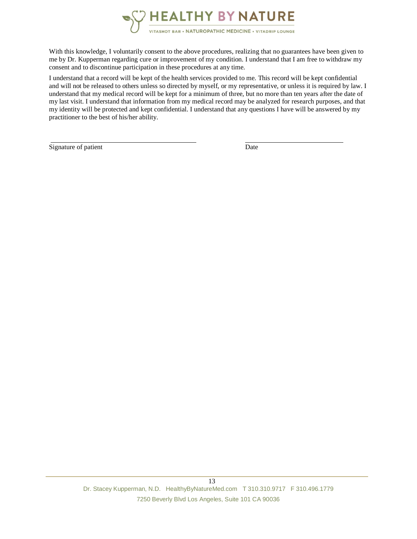

With this knowledge, I voluntarily consent to the above procedures, realizing that no guarantees have been given to me by Dr. Kupperman regarding cure or improvement of my condition. I understand that I am free to withdraw my consent and to discontinue participation in these procedures at any time.

I understand that a record will be kept of the health services provided to me. This record will be kept confidential and will not be released to others unless so directed by myself, or my representative, or unless it is required by law. I understand that my medical record will be kept for a minimum of three, but no more than ten years after the date of my last visit. I understand that information from my medical record may be analyzed for research purposes, and that my identity will be protected and kept confidential. I understand that any questions I have will be answered by my practitioner to the best of his/her ability.

Signature of patient Date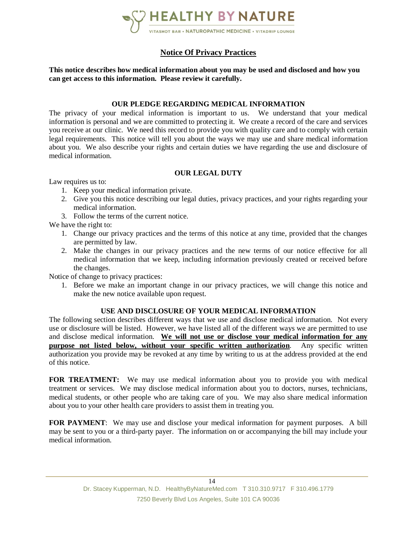

#### **Notice Of Privacy Practices**

**This notice describes how medical information about you may be used and disclosed and how you can get access to this information. Please review it carefully.**

#### **OUR PLEDGE REGARDING MEDICAL INFORMATION**

The privacy of your medical information is important to us. We understand that your medical information is personal and we are committed to protecting it. We create a record of the care and services you receive at our clinic. We need this record to provide you with quality care and to comply with certain legal requirements. This notice will tell you about the ways we may use and share medical information about you. We also describe your rights and certain duties we have regarding the use and disclosure of medical information.

#### **OUR LEGAL DUTY**

Law requires us to:

- 1. Keep your medical information private.
- 2. Give you this notice describing our legal duties, privacy practices, and your rights regarding your medical information.
- 3. Follow the terms of the current notice.

We have the right to:

- 1. Change our privacy practices and the terms of this notice at any time, provided that the changes are permitted by law.
- 2. Make the changes in our privacy practices and the new terms of our notice effective for all medical information that we keep, including information previously created or received before the changes.

Notice of change to privacy practices:

1. Before we make an important change in our privacy practices, we will change this notice and make the new notice available upon request.

#### **USE AND DISCLOSURE OF YOUR MEDICAL INFORMATION**

The following section describes different ways that we use and disclose medical information. Not every use or disclosure will be listed. However, we have listed all of the different ways we are permitted to use and disclose medical information. **We will not use or disclose your medical information for any purpose not listed below, without your specific written authorization**. Any specific written authorization you provide may be revoked at any time by writing to us at the address provided at the end of this notice.

**FOR TREATMENT:** We may use medical information about you to provide you with medical treatment or services. We may disclose medical information about you to doctors, nurses, technicians, medical students, or other people who are taking care of you. We may also share medical information about you to your other health care providers to assist them in treating you.

**FOR PAYMENT**: We may use and disclose your medical information for payment purposes. A bill may be sent to you or a third-party payer. The information on or accompanying the bill may include your medical information.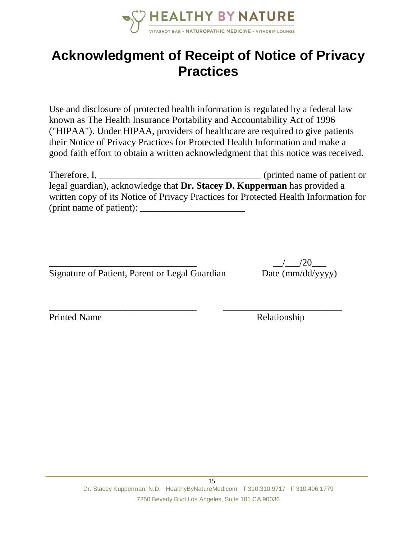

## **Acknowledgment of Receipt of Notice of Privacy Practices**

Use and disclosure of protected health information is regulated by a federal law known as The Health Insurance Portability and Accountability Act of 1996 ("HIPAA"). Under HIPAA, providers of healthcare are required to give patients their Notice of Privacy Practices for Protected Health Information and make a good faith effort to obtain a written acknowledgment that this notice was received.

| Therefore, I,                                                                        | (printed name of patient or |
|--------------------------------------------------------------------------------------|-----------------------------|
| legal guardian), acknowledge that <b>Dr. Stacey D. Kupperman</b> has provided a      |                             |
| written copy of its Notice of Privacy Practices for Protected Health Information for |                             |
| (print name of patient):                                                             |                             |

\_\_\_\_\_\_\_\_\_\_\_\_\_\_\_\_\_\_\_\_\_\_\_\_\_\_\_\_\_\_\_ \_\_\_\_\_\_\_\_\_\_\_\_\_\_\_\_\_\_\_\_\_\_\_\_\_

| Signature of Patient, Parent or Legal Guardian |  |  |
|------------------------------------------------|--|--|
|                                                |  |  |
|                                                |  |  |
|                                                |  |  |

 $\frac{1}{20}$ Date (mm/dd/yyyy)

Printed Name Relationship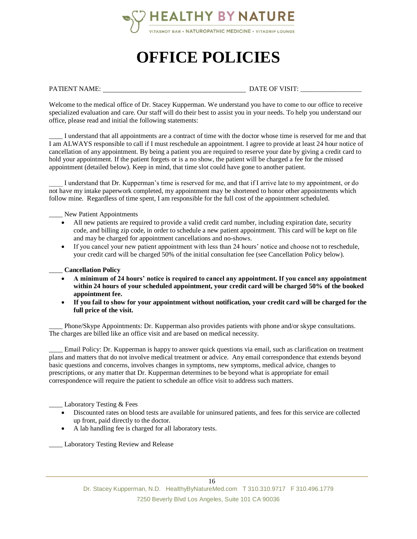

# **OFFICE POLICIES**

PATIENT NAME: DATE OF VISIT:

Welcome to the medical office of Dr. Stacey Kupperman. We understand you have to come to our office to receive specialized evaluation and care. Our staff will do their best to assist you in your needs. To help you understand our office, please read and initial the following statements:

I understand that all appointments are a contract of time with the doctor whose time is reserved for me and that I am ALWAYS responsible to call if I must reschedule an appointment. I agree to provide at least 24 hour notice of cancellation of any appointment. By being a patient you are required to reserve your date by giving a credit card to hold your appointment. If the patient forgets or is a no show, the patient will be charged a fee for the missed appointment (detailed below). Keep in mind, that time slot could have gone to another patient.

\_\_\_\_ I understand that Dr. Kupperman's time is reserved for me, and that if I arrive late to my appointment, or do not have my intake paperwork completed, my appointment may be shortened to honor other appointments which follow mine. Regardless of time spent, I am responsible for the full cost of the appointment scheduled.

New Patient Appointments

- All new patients are required to provide a valid credit card number, including expiration date, security code, and billing zip code, in order to schedule a new patient appointment. This card will be kept on file and may be charged for appointment cancellations and no-shows.
- If you cancel your new patient appointment with less than 24 hours' notice and choose not to reschedule, your credit card will be charged 50% of the initial consultation fee (see Cancellation Policy below).

#### \_\_\_\_ **Cancellation Policy**

- **A minimum of 24 hours' notice is required to cancel any appointment. If you cancel any appointment within 24 hours of your scheduled appointment, your credit card will be charged 50% of the booked appointment fee.**
- **If you fail to show for your appointment without notification, your credit card will be charged for the full price of the visit.**

Phone/Skype Appointments: Dr. Kupperman also provides patients with phone and/or skype consultations. The charges are billed like an office visit and are based on medical necessity.

Email Policy: Dr. Kupperman is happy to answer quick questions via email, such as clarification on treatment plans and matters that do not involve medical treatment or advice. Any email correspondence that extends beyond basic questions and concerns, involves changes in symptoms, new symptoms, medical advice, changes to prescriptions, or any matter that Dr. Kupperman determines to be beyond what is appropriate for email correspondence will require the patient to schedule an office visit to address such matters.

Laboratory Testing & Fees

- Discounted rates on blood tests are available for uninsured patients, and fees for this service are collected up front, paid directly to the doctor.
- A lab handling fee is charged for all laboratory tests.

\_\_\_\_ Laboratory Testing Review and Release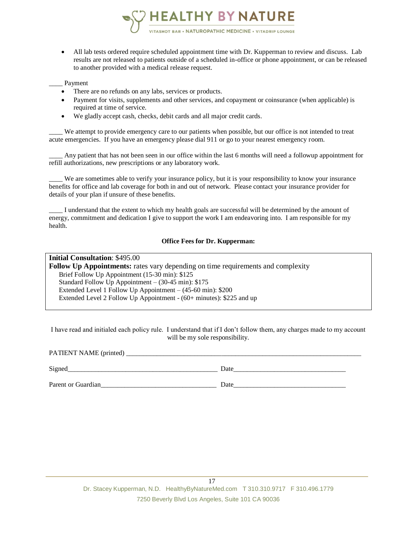

• All lab tests ordered require scheduled appointment time with Dr. Kupperman to review and discuss. Lab results are not released to patients outside of a scheduled in-office or phone appointment, or can be released to another provided with a medical release request.

#### \_\_\_\_ Payment

- There are no refunds on any labs, services or products.
- Payment for visits, supplements and other services, and copayment or coinsurance (when applicable) is required at time of service.
- We gladly accept cash, checks, debit cards and all major credit cards.

\_\_\_\_ We attempt to provide emergency care to our patients when possible, but our office is not intended to treat acute emergencies. If you have an emergency please dial 911 or go to your nearest emergency room.

\_\_\_\_ Any patient that has not been seen in our office within the last 6 months will need a followup appointment for refill authorizations, new prescriptions or any laboratory work.

\_\_\_\_ We are sometimes able to verify your insurance policy, but it is your responsibility to know your insurance benefits for office and lab coverage for both in and out of network. Please contact your insurance provider for details of your plan if unsure of these benefits.

I understand that the extent to which my health goals are successful will be determined by the amount of energy, commitment and dedication I give to support the work I am endeavoring into. I am responsible for my health.

#### **Office Fees for Dr. Kupperman:**

**Initial Consultation**: \$495.00 **Follow Up Appointments:** rates vary depending on time requirements and complexity Brief Follow Up Appointment (15-30 min): \$125 Standard Follow Up Appointment – (30-45 min): \$175 Extended Level 1 Follow Up Appointment – (45-60 min): \$200 Extended Level 2 Follow Up Appointment - (60+ minutes): \$225 and up

I have read and initialed each policy rule. I understand that if I don't follow them, any charges made to my account will be my sole responsibility.

PATIENT NAME (printed)

Signed Date  $\Box$ Parent or Guardian and the set of Guardian and the set of  $\Box$  Date and  $\Box$  Date and  $\Box$  Date and  $\Box$  Date and  $\Box$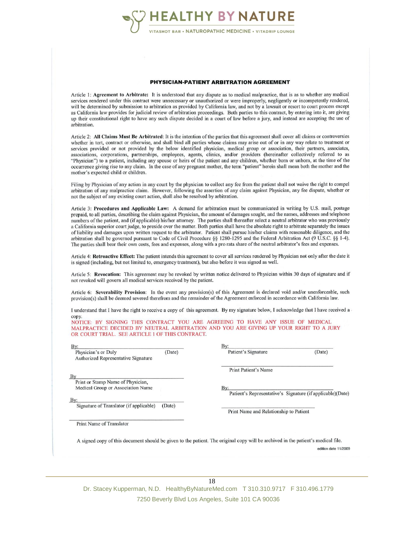

#### PHYSICIAN-PATIENT ARBITRATION AGREEMENT

Article 1: Agreement to Arbitrate: It is understood that any dispute as to medical malpractice, that is as to whether any medical services rendered under this contract were unnecessary or unauthorized or were improperly, negligently or incompetently rendered, will be determined by submission to arbitration as provided by California law, and not by a lawsuit or resort to court process except as California law provides for judicial review of arbitration proceedings. Both parties to this contract, by entering into it, are giving up their constitutional right to have any such dispute decided in a court of law before a jury, and instead are accepting the use of arbitration.

Article 2: All Claims Must Be Arbitrated: It is the intention of the parties that this agreement shall cover all claims or controversies whether in tort, contract or otherwise, and shall bind all parties whose claims may arise out of or in any way relate to treatment or services provided or not provided by the below identified physician, medical group or association, their partners, associates, associations, corporations, partnerships, employees, agents, clinics, and/or providers (hereinafter collectively referred to as "Physician") to a patient, including any spouse or heirs of the patient and any children, whether born or unborn, at the time of the occurrence giving rise to any claim. In the case of any pregnant mother, the term "patient" herein shall mean both the mother and the mother's expected child or children.

Filing by Physician of any action in any court by the physician to collect any fee from the patient shall not waive the right to compel arbitration of any malpractice claim. However, following the assertion of any claim against Physician, any fee dispute, whether or not the subject of any existing court action, shall also be resolved by arbitration.

Article 3: Procedures and Applicable Law: A demand for arbitration must be communicated in writing by U.S. mail, postage prepaid, to all parties, describing the claim against Physician, the amount of damages sought, and the names, addresses and telephone numbers of the patient, and (if applicable) his/her attorney. The parties shall thereafter select a neutral arbitrator who was previously a California superior court judge, to preside over the matter. Both parties shall have the absolute right to arbitrate separately the issues of liability and damages upon written request to the arbitrator. Patient shall pursue his/her claims with reasonable diligence, and the arbitration shall be governed pursuant to Code of Civil Procedure §§ 1280-1295 and the Federal Arbitration Act (9 U.S.C. §§ 1-4). The parties shall bear their own costs, fees and expenses, along with a pro rata share of the neutral arbitrator's fees and expenses.

Article 4: Retroactive Effect: The patient intends this agreement to cover all services rendered by Physician not only after the date it is signed (including, but not limited to, emergency treatment), but also before it was signed as well.

Article 5: Revocation: This agreement may be revoked by written notice delivered to Physician within 30 days of signature and if not revoked will govern all medical services received by the patient.

Article 6: Severability Provision: In the event any provision(s) of this Agreement is declared void and/or unenforceable, such provision(s) shall be deemed severed therefrom and the remainder of the Agreement enforced in accordance with California law.

I understand that I have the right to receive a copy of this agreement. By my signature below, I acknowledge that I have received a copy.

NOTICE: BY SIGNING THIS CONTRACT YOU ARE AGREEING TO HAVE ANY ISSUE OF MEDICAL MALPRACTICE DECIDED BY NEUTRAL ARBITRATION AND YOU ARE GIVING UP YOUR RIGHT TO A JURY OR COURT TRIAL. SEE ARTICLE 1 OF THIS CONTRACT.

| By:<br>Physician's or Duly<br>Authorized Representative Signature      | (Date) | Patient's Signature                                                                                                              | (Date)               |
|------------------------------------------------------------------------|--------|----------------------------------------------------------------------------------------------------------------------------------|----------------------|
| By                                                                     |        | <b>Print Patient's Name</b>                                                                                                      |                      |
| Print or Stamp Name of Physician,<br>Medical Group or Association Name |        | Bv:                                                                                                                              |                      |
| By:                                                                    |        | Patient's Representative's Signature (if applicable)(Date)                                                                       |                      |
| Signature of Translator (if applicable)                                | (Date) | Print Name and Relationship to Patient                                                                                           |                      |
| Print Name of Translator                                               |        |                                                                                                                                  |                      |
|                                                                        |        | A signed copy of this document should be given to the patient. The original copy will be archived in the patient's medical file. |                      |
|                                                                        |        |                                                                                                                                  | edition date 11/2009 |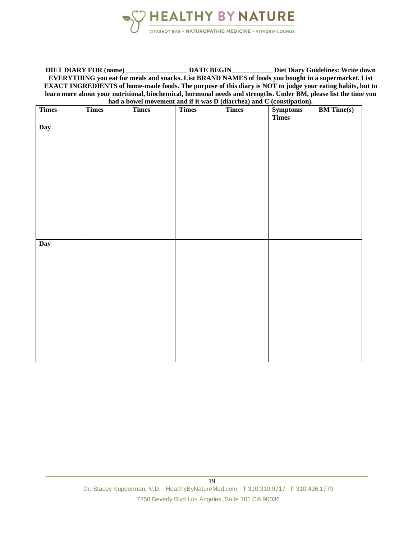

**DIET DIARY FOR (name) \_\_\_\_\_\_\_\_\_\_\_\_\_\_\_\_\_\_ DATE BEGIN\_\_\_\_\_\_\_\_\_\_\_\_ Diet Diary Guidelines: Write down EVERYTHING you eat for meals and snacks. List BRAND NAMES of foods you bought in a supermarket. List EXACT INGREDIENTS of home-made foods. The purpose of this diary is NOT to judge your eating habits, but to learn more about your nutritional, biochemical, hormonal needs and strengths. Under BM, please list the time you had a bowel movement and if it was D (diarrhea) and C (constipation).**

| <b>Times</b> | <b>Times</b> | <b>Times</b> | <b>Times</b> | <b>Times</b> | Symptoms<br>Times | <b>BM</b> Time(s) |
|--------------|--------------|--------------|--------------|--------------|-------------------|-------------------|
| Day          |              |              |              |              |                   |                   |
|              |              |              |              |              |                   |                   |
|              |              |              |              |              |                   |                   |
|              |              |              |              |              |                   |                   |
|              |              |              |              |              |                   |                   |
|              |              |              |              |              |                   |                   |
|              |              |              |              |              |                   |                   |
|              |              |              |              |              |                   |                   |
| Day          |              |              |              |              |                   |                   |
|              |              |              |              |              |                   |                   |
|              |              |              |              |              |                   |                   |
|              |              |              |              |              |                   |                   |
|              |              |              |              |              |                   |                   |
|              |              |              |              |              |                   |                   |
|              |              |              |              |              |                   |                   |
|              |              |              |              |              |                   |                   |